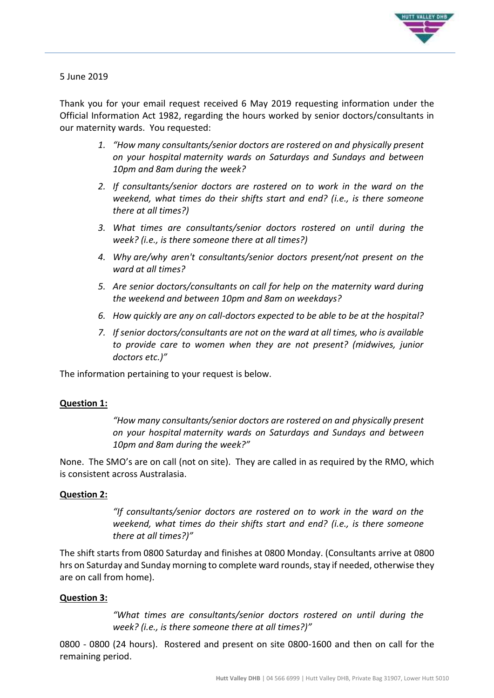

# 5 June 2019

Thank you for your email request received 6 May 2019 requesting information under the Official Information Act 1982, regarding the hours worked by senior doctors/consultants in our maternity wards. You requested:

- *1. "How many consultants/senior doctors are rostered on and physically present on your hospital maternity wards on Saturdays and Sundays and between 10pm and 8am during the week?*
- *2. If consultants/senior doctors are rostered on to work in the ward on the weekend, what times do their shifts start and end? (i.e., is there someone there at all times?)*
- *3. What times are consultants/senior doctors rostered on until during the week? (i.e., is there someone there at all times?)*
- *4. Why are/why aren't consultants/senior doctors present/not present on the ward at all times?*
- *5. Are senior doctors/consultants on call for help on the maternity ward during the weekend and between 10pm and 8am on weekdays?*
- *6. How quickly are any on call-doctors expected to be able to be at the hospital?*
- *7. If senior doctors/consultants are not on the ward at all times, who is available to provide care to women when they are not present? (midwives, junior doctors etc.)"*

The information pertaining to your request is below.

#### **Question 1:**

*"How many consultants/senior doctors are rostered on and physically present on your hospital maternity wards on Saturdays and Sundays and between 10pm and 8am during the week?"*

None. The SMO's are on call (not on site). They are called in as required by the RMO, which is consistent across Australasia.

# **Question 2:**

*"If consultants/senior doctors are rostered on to work in the ward on the weekend, what times do their shifts start and end? (i.e., is there someone there at all times?)"*

The shift starts from 0800 Saturday and finishes at 0800 Monday. (Consultants arrive at 0800 hrs on Saturday and Sunday morning to complete ward rounds, stay if needed, otherwise they are on call from home).

# **Question 3:**

*"What times are consultants/senior doctors rostered on until during the week? (i.e., is there someone there at all times?)"*

0800 - 0800 (24 hours). Rostered and present on site 0800-1600 and then on call for the remaining period.